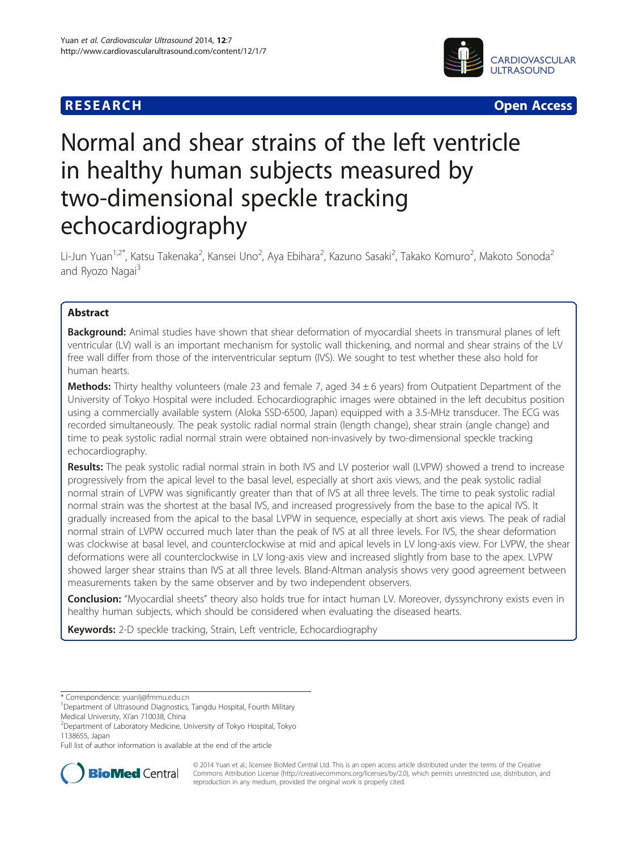# **RESEARCH CHE CHE Open Access**



# Normal and shear strains of the left ventricle in healthy human subjects measured by two-dimensional speckle tracking echocardiography

Li-Jun Yuan<sup>1,2\*</sup>, Katsu Takenaka<sup>2</sup>, Kansei Uno<sup>2</sup>, Aya Ebihara<sup>2</sup>, Kazuno Sasaki<sup>2</sup>, Takako Komuro<sup>2</sup>, Makoto Sonoda<sup>2</sup> and Ryozo Nagai<sup>3</sup>

# Abstract

Background: Animal studies have shown that shear deformation of myocardial sheets in transmural planes of left ventricular (LV) wall is an important mechanism for systolic wall thickening, and normal and shear strains of the LV free wall differ from those of the interventricular septum (IVS). We sought to test whether these also hold for human hearts.

**Methods:** Thirty healthy volunteers (male 23 and female 7, aged  $34 \pm 6$  years) from Outpatient Department of the University of Tokyo Hospital were included. Echocardiographic images were obtained in the left decubitus position using a commercially available system (Aloka SSD-6500, Japan) equipped with a 3.5-MHz transducer. The ECG was recorded simultaneously. The peak systolic radial normal strain (length change), shear strain (angle change) and time to peak systolic radial normal strain were obtained non-invasively by two-dimensional speckle tracking echocardiography.

Results: The peak systolic radial normal strain in both IVS and LV posterior wall (LVPW) showed a trend to increase progressively from the apical level to the basal level, especially at short axis views, and the peak systolic radial normal strain of LVPW was significantly greater than that of IVS at all three levels. The time to peak systolic radial normal strain was the shortest at the basal IVS, and increased progressively from the base to the apical IVS. It gradually increased from the apical to the basal LVPW in sequence, especially at short axis views. The peak of radial normal strain of LVPW occurred much later than the peak of IVS at all three levels. For IVS, the shear deformation was clockwise at basal level, and counterclockwise at mid and apical levels in LV long-axis view. For LVPW, the shear deformations were all counterclockwise in LV long-axis view and increased slightly from base to the apex. LVPW showed larger shear strains than IVS at all three levels. Bland-Altman analysis shows very good agreement between measurements taken by the same observer and by two independent observers.

Conclusion: "Myocardial sheets" theory also holds true for intact human LV. Moreover, dyssynchrony exists even in healthy human subjects, which should be considered when evaluating the diseased hearts.

Keywords: 2-D speckle tracking, Strain, Left ventricle, Echocardiography

Full list of author information is available at the end of the article



© 2014 Yuan et al.; licensee BioMed Central Ltd. This is an open access article distributed under the terms of the Creative Commons Attribution License [\(http://creativecommons.org/licenses/by/2.0\)](http://creativecommons.org/licenses/by/2.0), which permits unrestricted use, distribution, and reproduction in any medium, provided the original work is properly cited.

<sup>\*</sup> Correspondence: [yuanlj@fmmu.edu.cn](mailto:yuanlj@fmmu.edu.cn) <sup>1</sup>

<sup>&</sup>lt;sup>1</sup>Department of Ultrasound Diagnostics, Tangdu Hospital, Fourth Military Medical University, Xi'an 710038, China <sup>2</sup>

Department of Laboratory Medicine, University of Tokyo Hospital, Tokyo 1138655, Japan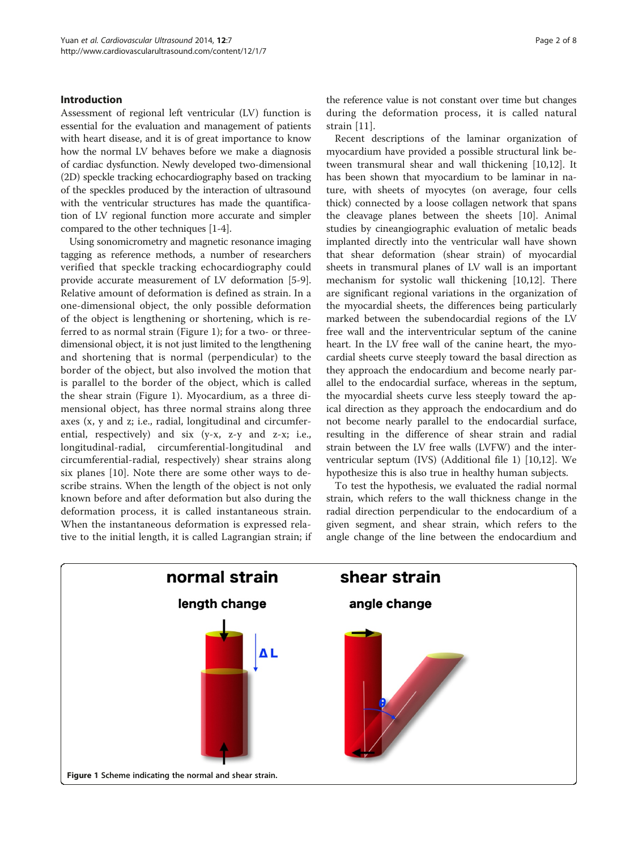# Introduction

Assessment of regional left ventricular (LV) function is essential for the evaluation and management of patients with heart disease, and it is of great importance to know how the normal LV behaves before we make a diagnosis of cardiac dysfunction. Newly developed two-dimensional (2D) speckle tracking echocardiography based on tracking of the speckles produced by the interaction of ultrasound with the ventricular structures has made the quantification of LV regional function more accurate and simpler compared to the other techniques [\[1-4](#page-7-0)].

Using sonomicrometry and magnetic resonance imaging tagging as reference methods, a number of researchers verified that speckle tracking echocardiography could provide accurate measurement of LV deformation [\[5](#page-7-0)-[9](#page-7-0)]. Relative amount of deformation is defined as strain. In a one-dimensional object, the only possible deformation of the object is lengthening or shortening, which is referred to as normal strain (Figure 1); for a two- or threedimensional object, it is not just limited to the lengthening and shortening that is normal (perpendicular) to the border of the object, but also involved the motion that is parallel to the border of the object, which is called the shear strain (Figure 1). Myocardium, as a three dimensional object, has three normal strains along three axes (x, y and z; i.e., radial, longitudinal and circumferential, respectively) and six (y-x, z-y and z-x; i.e., longitudinal-radial, circumferential-longitudinal and circumferential-radial, respectively) shear strains along six planes [[10](#page-7-0)]. Note there are some other ways to describe strains. When the length of the object is not only known before and after deformation but also during the deformation process, it is called instantaneous strain. When the instantaneous deformation is expressed relative to the initial length, it is called Lagrangian strain; if the reference value is not constant over time but changes during the deformation process, it is called natural strain [[11](#page-7-0)].

Recent descriptions of the laminar organization of myocardium have provided a possible structural link between transmural shear and wall thickening [\[10,12](#page-7-0)]. It has been shown that myocardium to be laminar in nature, with sheets of myocytes (on average, four cells thick) connected by a loose collagen network that spans the cleavage planes between the sheets [\[10](#page-7-0)]. Animal studies by cineangiographic evaluation of metalic beads implanted directly into the ventricular wall have shown that shear deformation (shear strain) of myocardial sheets in transmural planes of LV wall is an important mechanism for systolic wall thickening [[10,12\]](#page-7-0). There are significant regional variations in the organization of the myocardial sheets, the differences being particularly marked between the subendocardial regions of the LV free wall and the interventricular septum of the canine heart. In the LV free wall of the canine heart, the myocardial sheets curve steeply toward the basal direction as they approach the endocardium and become nearly parallel to the endocardial surface, whereas in the septum, the myocardial sheets curve less steeply toward the apical direction as they approach the endocardium and do not become nearly parallel to the endocardial surface, resulting in the difference of shear strain and radial strain between the LV free walls (LVFW) and the interventricular septum (IVS) (Additional file [1](#page-6-0)) [\[10,12](#page-7-0)]. We hypothesize this is also true in healthy human subjects.

To test the hypothesis, we evaluated the radial normal strain, which refers to the wall thickness change in the radial direction perpendicular to the endocardium of a given segment, and shear strain, which refers to the angle change of the line between the endocardium and

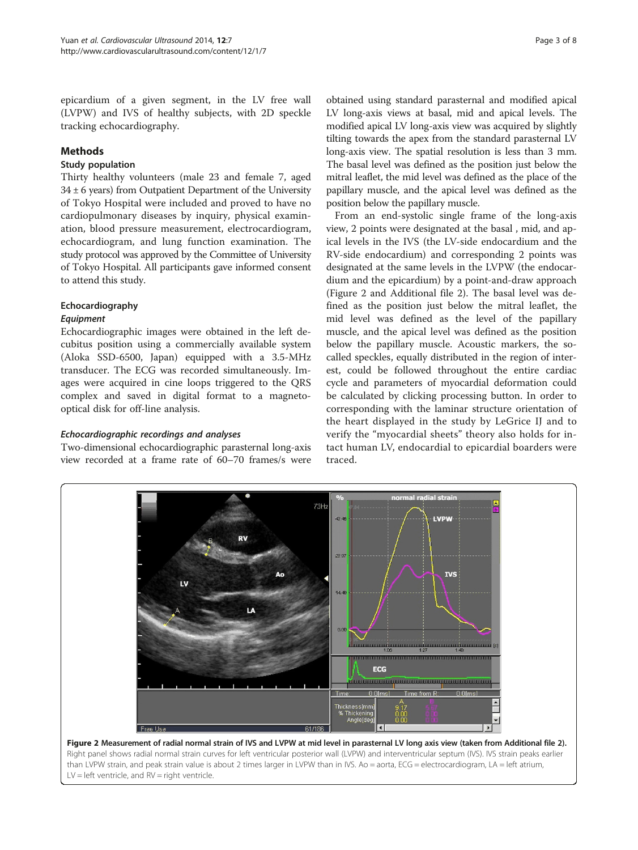<span id="page-2-0"></span>epicardium of a given segment, in the LV free wall (LVPW) and IVS of healthy subjects, with 2D speckle tracking echocardiography.

# Methods

# Study population

Thirty healthy volunteers (male 23 and female 7, aged  $34 \pm 6$  years) from Outpatient Department of the University of Tokyo Hospital were included and proved to have no cardiopulmonary diseases by inquiry, physical examination, blood pressure measurement, electrocardiogram, echocardiogram, and lung function examination. The study protocol was approved by the Committee of University of Tokyo Hospital. All participants gave informed consent to attend this study.

# Echocardiography

# Equipment

Echocardiographic images were obtained in the left decubitus position using a commercially available system (Aloka SSD-6500, Japan) equipped with a 3.5-MHz transducer. The ECG was recorded simultaneously. Images were acquired in cine loops triggered to the QRS complex and saved in digital format to a magnetooptical disk for off-line analysis.

# Echocardiographic recordings and analyses

Two-dimensional echocardiographic parasternal long-axis view recorded at a frame rate of 60–70 frames/s were

obtained using standard parasternal and modified apical LV long-axis views at basal, mid and apical levels. The modified apical LV long-axis view was acquired by slightly tilting towards the apex from the standard parasternal LV long-axis view. The spatial resolution is less than 3 mm. The basal level was defined as the position just below the mitral leaflet, the mid level was defined as the place of the papillary muscle, and the apical level was defined as the position below the papillary muscle.

From an end-systolic single frame of the long-axis view, 2 points were designated at the basal , mid, and apical levels in the IVS (the LV-side endocardium and the RV-side endocardium) and corresponding 2 points was designated at the same levels in the LVPW (the endocardium and the epicardium) by a point-and-draw approach (Figure 2 and Additional file [2\)](#page-6-0). The basal level was defined as the position just below the mitral leaflet, the mid level was defined as the level of the papillary muscle, and the apical level was defined as the position below the papillary muscle. Acoustic markers, the socalled speckles, equally distributed in the region of interest, could be followed throughout the entire cardiac cycle and parameters of myocardial deformation could be calculated by clicking processing button. In order to corresponding with the laminar structure orientation of the heart displayed in the study by LeGrice IJ and to verify the "myocardial sheets" theory also holds for intact human LV, endocardial to epicardial boarders were traced.

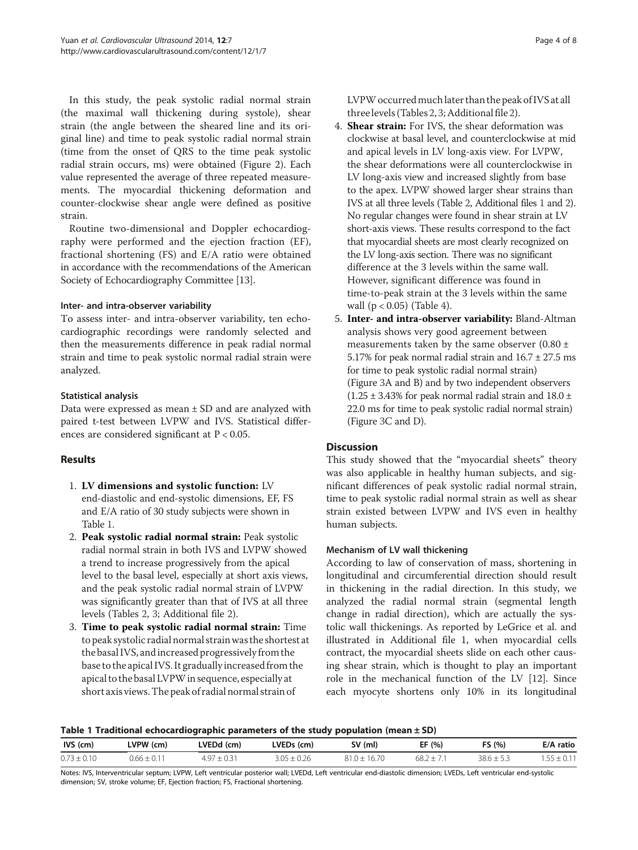In this study, the peak systolic radial normal strain (the maximal wall thickening during systole), shear strain (the angle between the sheared line and its original line) and time to peak systolic radial normal strain (time from the onset of QRS to the time peak systolic radial strain occurs, ms) were obtained (Figure [2\)](#page-2-0). Each value represented the average of three repeated measurements. The myocardial thickening deformation and counter-clockwise shear angle were defined as positive strain.

Routine two-dimensional and Doppler echocardiography were performed and the ejection fraction (EF), fractional shortening (FS) and E/A ratio were obtained in accordance with the recommendations of the American Society of Echocardiography Committee [[13](#page-7-0)].

# Inter- and intra-observer variability

To assess inter- and intra-observer variability, ten echocardiographic recordings were randomly selected and then the measurements difference in peak radial normal strain and time to peak systolic normal radial strain were analyzed.

# Statistical analysis

Data were expressed as mean ± SD and are analyzed with paired t-test between LVPW and IVS. Statistical differences are considered significant at P < 0.05.

# Results

- 1. LV dimensions and systolic function: LV end-diastolic and end-systolic dimensions, EF, FS and E/A ratio of 30 study subjects were shown in Table 1.
- 2. Peak systolic radial normal strain: Peak systolic radial normal strain in both IVS and LVPW showed a trend to increase progressively from the apical level to the basal level, especially at short axis views, and the peak systolic radial normal strain of LVPW was significantly greater than that of IVS at all three levels (Tables [2](#page-4-0), [3](#page-4-0); Additional file [2](#page-6-0)).
- 3. Time to peak systolic radial normal strain: Time to peak systolic radial normal strainwas the shortest at the basal IVS, and increased progressively from the base to the apical IVS. It gradually increased from the apical to the basal LVPW in sequence, especially at short axis views. The peak of radial normal strain of

LVPW occurred much later than the peak of IVS at all three levels (Tables [2,](#page-4-0) [3](#page-4-0); Additional file [2\)](#page-6-0).

- 4. Shear strain: For IVS, the shear deformation was clockwise at basal level, and counterclockwise at mid and apical levels in LV long-axis view. For LVPW, the shear deformations were all counterclockwise in LV long-axis view and increased slightly from base to the apex. LVPW showed larger shear strains than IVS at all three levels (Table [2,](#page-4-0) Additional files [1](#page-6-0) and [2\)](#page-6-0). No regular changes were found in shear strain at LV short-axis views. These results correspond to the fact that myocardial sheets are most clearly recognized on the LV long-axis section. There was no significant difference at the 3 levels within the same wall. However, significant difference was found in time-to-peak strain at the 3 levels within the same wall (p < 0.05) (Table [4\)](#page-5-0).
- 5. Inter- and intra-observer variability: Bland-Altman analysis shows very good agreement between measurements taken by the same observer (0.80  $\pm$ 5.17% for peak normal radial strain and  $16.7 \pm 27.5$  ms for time to peak systolic radial normal strain) (Figure [3](#page-5-0)A and B) and by two independent observers (1.25  $\pm$  3.43% for peak normal radial strain and 18.0  $\pm$ 22.0 ms for time to peak systolic radial normal strain) (Figure [3](#page-5-0)C and D).

# **Discussion**

This study showed that the "myocardial sheets" theory was also applicable in healthy human subjects, and significant differences of peak systolic radial normal strain, time to peak systolic radial normal strain as well as shear strain existed between LVPW and IVS even in healthy human subjects.

# Mechanism of LV wall thickening

According to law of conservation of mass, shortening in longitudinal and circumferential direction should result in thickening in the radial direction. In this study, we analyzed the radial normal strain (segmental length change in radial direction), which are actually the systolic wall thickenings. As reported by LeGrice et al. and illustrated in Additional file [1,](#page-6-0) when myocardial cells contract, the myocardial sheets slide on each other causing shear strain, which is thought to play an important role in the mechanical function of the LV [[12\]](#page-7-0). Since each myocyte shortens only 10% in its longitudinal

### Table 1 Traditional echocardiographic parameters of the study population (mean ± SD)

| IVS (cm)        | LVPW (cm)       | LVEDd (cm)      | LVEDs (cm)      | SV (ml)          | EF (%)         | FS (%)         | E/A ratio       |
|-----------------|-----------------|-----------------|-----------------|------------------|----------------|----------------|-----------------|
| $0.73 \pm 0.10$ | $0.66 \pm 0.11$ | $4.97 \pm 0.31$ | $3.05 \pm 0.26$ | $81.0 \pm 16.70$ | $68.2 \pm 7.1$ | $38.6 \pm 5.3$ | $1.55 \pm 0.11$ |

Notes: IVS, Interventricular septum; LVPW, Left ventricular posterior wall; LVEDd, Left ventricular end-diastolic dimension; LVEDs, Left ventricular end-systolic dimension; SV, stroke volume; EF, Ejection fraction; FS, Fractional shortening.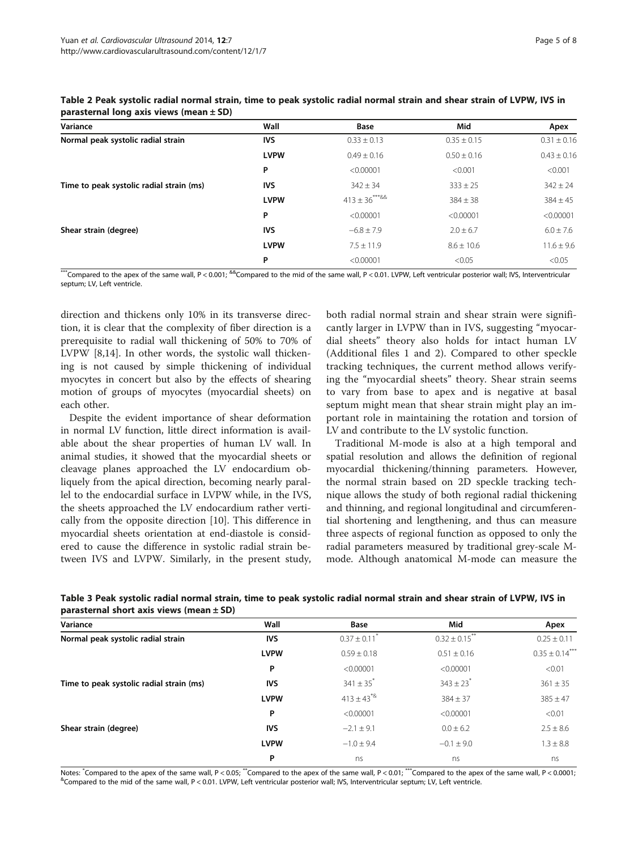| Variance                                 | Wall        | Base            | Mid             | Apex            |
|------------------------------------------|-------------|-----------------|-----------------|-----------------|
| Normal peak systolic radial strain       | <b>IVS</b>  | $0.33 \pm 0.13$ | $0.35 \pm 0.15$ | $0.31 \pm 0.16$ |
|                                          | <b>LVPW</b> | $0.49 \pm 0.16$ | $0.50 \pm 0.16$ | $0.43 \pm 0.16$ |
|                                          | P           | < 0.00001       | < 0.001         | < 0.001         |
| Time to peak systolic radial strain (ms) | <b>IVS</b>  | $342 \pm 34$    | $333 \pm 25$    | $342 \pm 24$    |
|                                          | <b>LVPW</b> | $413 \pm 36***$ | $384 \pm 38$    | $384 \pm 45$    |
|                                          | P           | < 0.00001       | < 0.00001       | < 0.00001       |
| Shear strain (degree)                    | <b>IVS</b>  | $-6.8 \pm 7.9$  | $2.0 \pm 6.7$   | $6.0 \pm 7.6$   |
|                                          | <b>LVPW</b> | $7.5 \pm 11.9$  | $8.6 \pm 10.6$  | $11.6 \pm 9.6$  |
|                                          | P           | < 0.00001       | < 0.05          | < 0.05          |

<span id="page-4-0"></span>Table 2 Peak systolic radial normal strain, time to peak systolic radial normal strain and shear strain of LVPW, IVS in parasternal long axis views (mean ± SD)

\*Compared to the apex of the same wall, P < 0.001; <sup>&&</sup>Compared to the mid of the same wall, P < 0.01. LVPW, Left ventricular posterior wall; IVS, Interventricular septum; LV, Left ventricle.

direction and thickens only 10% in its transverse direction, it is clear that the complexity of fiber direction is a prerequisite to radial wall thickening of 50% to 70% of LVPW [[8,14\]](#page-7-0). In other words, the systolic wall thickening is not caused by simple thickening of individual myocytes in concert but also by the effects of shearing motion of groups of myocytes (myocardial sheets) on each other.

Despite the evident importance of shear deformation in normal LV function, little direct information is available about the shear properties of human LV wall. In animal studies, it showed that the myocardial sheets or cleavage planes approached the LV endocardium obliquely from the apical direction, becoming nearly parallel to the endocardial surface in LVPW while, in the IVS, the sheets approached the LV endocardium rather vertically from the opposite direction [[10\]](#page-7-0). This difference in myocardial sheets orientation at end-diastole is considered to cause the difference in systolic radial strain between IVS and LVPW. Similarly, in the present study, both radial normal strain and shear strain were significantly larger in LVPW than in IVS, suggesting "myocardial sheets" theory also holds for intact human LV (Additional files [1](#page-6-0) and [2](#page-6-0)). Compared to other speckle tracking techniques, the current method allows verifying the "myocardial sheets" theory. Shear strain seems to vary from base to apex and is negative at basal septum might mean that shear strain might play an important role in maintaining the rotation and torsion of LV and contribute to the LV systolic function.

Traditional M-mode is also at a high temporal and spatial resolution and allows the definition of regional myocardial thickening/thinning parameters. However, the normal strain based on 2D speckle tracking technique allows the study of both regional radial thickening and thinning, and regional longitudinal and circumferential shortening and lengthening, and thus can measure three aspects of regional function as opposed to only the radial parameters measured by traditional grey-scale Mmode. Although anatomical M-mode can measure the

| Table 3 Peak systolic radial normal strain, time to peak systolic radial normal strain and shear strain of LVPW, IVS in |  |  |  |
|-------------------------------------------------------------------------------------------------------------------------|--|--|--|
| parasternal short axis views (mean $\pm$ SD)                                                                            |  |  |  |

| Variance                                 | Wall        | Base                         | Mid                           | Apex                           |
|------------------------------------------|-------------|------------------------------|-------------------------------|--------------------------------|
| Normal peak systolic radial strain       | <b>IVS</b>  | $0.37 \pm 0.11$ <sup>*</sup> | $0.32 \pm 0.15$ <sup>**</sup> | $0.25 \pm 0.11$                |
|                                          | <b>LVPW</b> | $0.59 \pm 0.18$              | $0.51 \pm 0.16$               | $0.35 \pm 0.14$ <sup>***</sup> |
|                                          | P           | < 0.00001                    | < 0.00001                     | < 0.01                         |
| Time to peak systolic radial strain (ms) | <b>IVS</b>  | $341 \pm 35$ <sup>*</sup>    | $343 \pm 23$ <sup>*</sup>     | $361 \pm 35$                   |
|                                          | <b>LVPW</b> | $413 \pm 43^{*8}$            | $384 \pm 37$                  | $385 \pm 47$                   |
|                                          | P           | < 0.00001                    | < 0.00001                     | < 0.01                         |
| Shear strain (degree)                    | <b>IVS</b>  | $-2.1 \pm 9.1$               | $0.0 \pm 6.2$                 | $2.5 \pm 8.6$                  |
|                                          | <b>LVPW</b> | $-1.0 \pm 9.4$               | $-0.1 \pm 9.0$                | $1.3 \pm 8.8$                  |
|                                          | P           | ns                           | ns                            | ns                             |

Notes: 'Compared to the apex of the same wall, P < 0.05; ''Compared to the apex of the same wall, P < 0.0001; '''Compared to the apex of the same wall, P < 0.0001;<br><sup>&</sup>Compared to the mid of the same wall, R < 0.01, LVRM, L Compared to the mid of the same wall, P < 0.01. LVPW, Left ventricular posterior wall; IVS, Interventricular septum; LV, Left ventricle.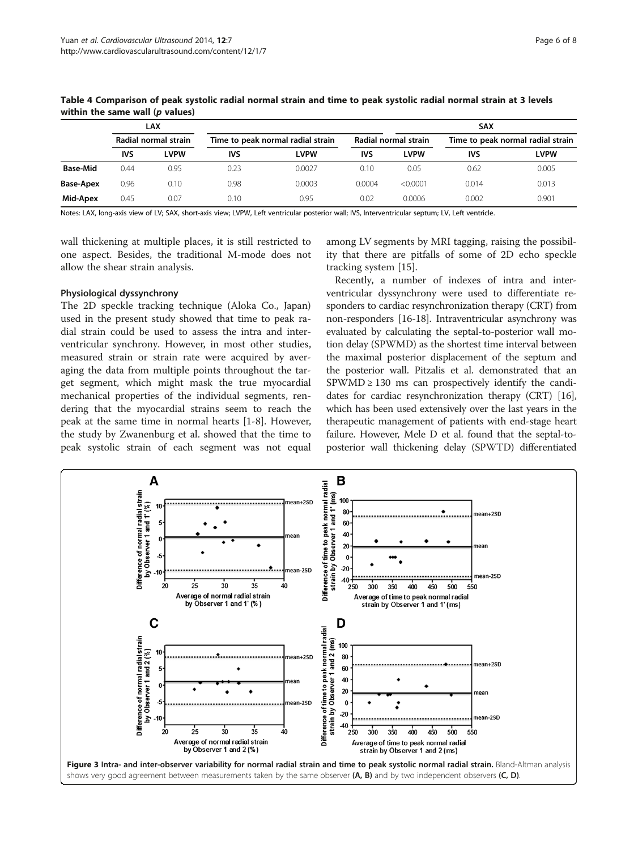|                 |                      | LAX         |                                   |        |                      |             | <b>SAX</b>                        |             |
|-----------------|----------------------|-------------|-----------------------------------|--------|----------------------|-------------|-----------------------------------|-------------|
|                 | Radial normal strain |             | Time to peak normal radial strain |        | Radial normal strain |             | Time to peak normal radial strain |             |
|                 | IVS                  | <b>LVPW</b> | IVS                               | LVPW   | IVS                  | <b>LVPW</b> | <b>IVS</b>                        | <b>LVPW</b> |
| <b>Base-Mid</b> | 0.44                 | 0.95        | 0.23                              | 0.0027 | 0.10                 | 0.05        | 0.62                              | 0.005       |
| Base-Apex       | 0.96                 | 0.10        | 0.98                              | 0.0003 | 0.0004               | < 0.0001    | 0.014                             | 0.013       |
| Mid-Apex        | 0.45                 | 0.07        | 0.10                              | 0.95   | 0.02                 | 0.0006      | 0.002                             | 0.901       |

<span id="page-5-0"></span>Table 4 Comparison of peak systolic radial normal strain and time to peak systolic radial normal strain at 3 levels within the same wall  $(p \text{ values})$ 

Notes: LAX, long-axis view of LV; SAX, short-axis view; LVPW, Left ventricular posterior wall; IVS, Interventricular septum; LV, Left ventricle.

wall thickening at multiple places, it is still restricted to one aspect. Besides, the traditional M-mode does not allow the shear strain analysis.

#### Physiological dyssynchrony

The 2D speckle tracking technique (Aloka Co., Japan) used in the present study showed that time to peak radial strain could be used to assess the intra and interventricular synchrony. However, in most other studies, measured strain or strain rate were acquired by averaging the data from multiple points throughout the target segment, which might mask the true myocardial mechanical properties of the individual segments, rendering that the myocardial strains seem to reach the peak at the same time in normal hearts [\[1](#page-7-0)-[8](#page-7-0)]. However, the study by Zwanenburg et al. showed that the time to peak systolic strain of each segment was not equal among LV segments by MRI tagging, raising the possibility that there are pitfalls of some of 2D echo speckle tracking system [[15\]](#page-7-0).

Recently, a number of indexes of intra and interventricular dyssynchrony were used to differentiate responders to cardiac resynchronization therapy (CRT) from non-responders [\[16-18\]](#page-7-0). Intraventricular asynchrony was evaluated by calculating the septal-to-posterior wall motion delay (SPWMD) as the shortest time interval between the maximal posterior displacement of the septum and the posterior wall. Pitzalis et al. demonstrated that an  $SPWMD \geq 130$  ms can prospectively identify the candidates for cardiac resynchronization therapy (CRT) [[16](#page-7-0)], which has been used extensively over the last years in the therapeutic management of patients with end-stage heart failure. However, Mele D et al. found that the septal-toposterior wall thickening delay (SPWTD) differentiated

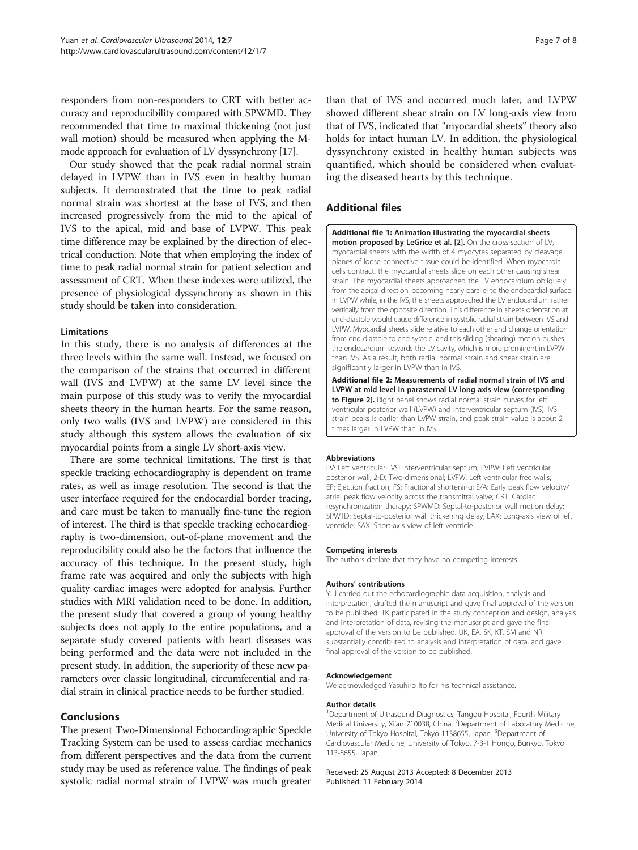<span id="page-6-0"></span>responders from non-responders to CRT with better accuracy and reproducibility compared with SPWMD. They recommended that time to maximal thickening (not just wall motion) should be measured when applying the Mmode approach for evaluation of LV dyssynchrony [[17](#page-7-0)].

Our study showed that the peak radial normal strain delayed in LVPW than in IVS even in healthy human subjects. It demonstrated that the time to peak radial normal strain was shortest at the base of IVS, and then increased progressively from the mid to the apical of IVS to the apical, mid and base of LVPW. This peak time difference may be explained by the direction of electrical conduction. Note that when employing the index of time to peak radial normal strain for patient selection and assessment of CRT. When these indexes were utilized, the presence of physiological dyssynchrony as shown in this study should be taken into consideration.

# Limitations

In this study, there is no analysis of differences at the three levels within the same wall. Instead, we focused on the comparison of the strains that occurred in different wall (IVS and LVPW) at the same LV level since the main purpose of this study was to verify the myocardial sheets theory in the human hearts. For the same reason, only two walls (IVS and LVPW) are considered in this study although this system allows the evaluation of six myocardial points from a single LV short-axis view.

There are some technical limitations. The first is that speckle tracking echocardiography is dependent on frame rates, as well as image resolution. The second is that the user interface required for the endocardial border tracing, and care must be taken to manually fine-tune the region of interest. The third is that speckle tracking echocardiography is two-dimension, out-of-plane movement and the reproducibility could also be the factors that influence the accuracy of this technique. In the present study, high frame rate was acquired and only the subjects with high quality cardiac images were adopted for analysis. Further studies with MRI validation need to be done. In addition, the present study that covered a group of young healthy subjects does not apply to the entire populations, and a separate study covered patients with heart diseases was being performed and the data were not included in the present study. In addition, the superiority of these new parameters over classic longitudinal, circumferential and radial strain in clinical practice needs to be further studied.

## **Conclusions**

The present Two-Dimensional Echocardiographic Speckle Tracking System can be used to assess cardiac mechanics from different perspectives and the data from the current study may be used as reference value. The findings of peak systolic radial normal strain of LVPW was much greater than that of IVS and occurred much later, and LVPW showed different shear strain on LV long-axis view from that of IVS, indicated that "myocardial sheets" theory also holds for intact human LV. In addition, the physiological dyssynchrony existed in healthy human subjects was quantified, which should be considered when evaluating the diseased hearts by this technique.

# Additional files

[Additional file 1:](http://www.biomedcentral.com/content/supplementary/1476-7120-12-7-S1.mov) Animation illustrating the myocardial sheets motion proposed by LeGrice et al. [\[2](#page-7-0)]. On the cross-section of LV, myocardial sheets with the width of 4 myocytes separated by cleavage planes of loose connective tissue could be identified. When myocardial cells contract, the myocardial sheets slide on each other causing shear strain. The myocardial sheets approached the LV endocardium obliquely from the apical direction, becoming nearly parallel to the endocardial surface in LVPW while, in the IVS, the sheets approached the LV endocardium rather vertically from the opposite direction. This difference in sheets orientation at end-diastole would cause difference in systolic radial strain between IVS and LVPW. Myocardial sheets slide relative to each other and change orientation from end diastole to end systole, and this sliding (shearing) motion pushes the endocardium towards the LV cavity, which is more prominent in LVPW than IVS. As a result, both radial normal strain and shear strain are significantly larger in LVPW than in IVS.

[Additional file 2:](http://www.biomedcentral.com/content/supplementary/1476-7120-12-7-S2.mov) Measurements of radial normal strain of IVS and LVPW at mid level in parasternal LV long axis view (corresponding to Figure [2\)](#page-2-0). Right panel shows radial normal strain curves for left ventricular posterior wall (LVPW) and interventricular septum (IVS). IVS strain peaks is earlier than LVPW strain, and peak strain value is about 2 times larger in LVPW than in IVS.

#### Abbreviations

LV: Left ventricular; IVS: Interventricular septum; LVPW: Left ventricular posterior wall; 2-D: Two-dimensional; LVFW: Left ventricular free walls; EF: Ejection fraction; FS: Fractional shortening; E/A: Early peak flow velocity/ atrial peak flow velocity across the transmitral valve; CRT: Cardiac resynchronization therapy; SPWMD: Septal-to-posterior wall motion delay; SPWTD: Septal-to-posterior wall thickening delay; LAX: Long-axis view of left ventricle; SAX: Short-axis view of left ventricle.

#### Competing interests

The authors declare that they have no competing interests.

#### Authors' contributions

YLJ carried out the echocardiographic data acquisition, analysis and interpretation, drafted the manuscript and gave final approval of the version to be published. TK participated in the study conception and design, analysis and interpretation of data, revising the manuscript and gave the final approval of the version to be published. UK, EA, SK, KT, SM and NR substantially contributed to analysis and interpretation of data, and gave final approval of the version to be published.

#### Acknowledgement

We acknowledged Yasuhiro Ito for his technical assistance.

#### Author details

<sup>1</sup>Department of Ultrasound Diagnostics, Tangdu Hospital, Fourth Military Medical University, Xi'an 710038, China. <sup>2</sup>Department of Laboratory Medicine, University of Tokyo Hospital, Tokyo 1138655, Japan. <sup>3</sup>Department of Cardiovascular Medicine, University of Tokyo, 7-3-1 Hongo, Bunkyo, Tokyo 113-8655, Japan.

Received: 25 August 2013 Accepted: 8 December 2013 Published: 11 February 2014